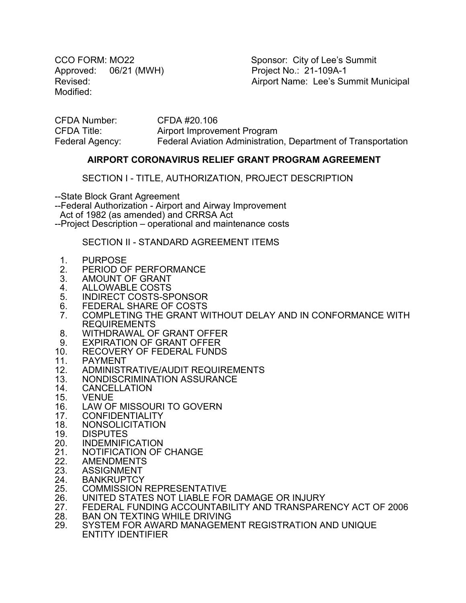Approved: 06/21 (MWH) Project No.: 21-109A-1 Modified:

CCO FORM: MO22 Sponsor: City of Lee's Summit Revised: Revised: Airport Name: Lee's Summit Municipal

CFDA Number: CFDA #20.106 CFDA Title: Airport Improvement Program Federal Agency: Federal Aviation Administration, Department of Transportation

### **AIRPORT CORONAVIRUS RELIEF GRANT PROGRAM AGREEMENT**

SECTION I - TITLE, AUTHORIZATION, PROJECT DESCRIPTION

--State Block Grant Agreement

--Federal Authorization - Airport and Airway Improvement

Act of 1982 (as amended) and CRRSA Act

--Project Description – operational and maintenance costs

SECTION II - STANDARD AGREEMENT ITEMS

- 1. PURPOSE<br>2. PERIOD OI
- 2. PERIOD OF PERFORMANCE<br>3. AMOUNT OF GRANT
- 3. AMOUNT OF GRANT<br>4. ALLOWABLE COSTS
- 4. ALLOWABLE COSTS<br>5. INDIRECT COSTS-SF
- INDIRECT COSTS-SPONSOR
- 6. FEDERAL SHARE OF COSTS
- 7. COMPLETING THE GRANT WITHOUT DELAY AND IN CONFORMANCE WITH<br>REQUIREMENTS
- 8. WITHDRAWAL OF GRANT OFFER<br>9. EXPIRATION OF GRANT OFFER<br>10. RECOVERY OF FEDERAL FUNDS
- 
- 10. RECOVERY OF FEDERAL FUNDS<br>11. PAYMENT
- 11. PAYMENT<br>12. ADMINISTI
- 12. ADMINISTRATIVE/AUDIT REQUIREMENTS<br>13. NONDISCRIMINATION ASSURANCE
- 13. NONDISCRIMINATION ASSURANCE<br>14. CANCELLATION
- 14. CANCELLATION<br>15. VENUE
- 15. VENUE<br>16. LAW OI
- 16. LAW OF MISSOURI TO GOVERN<br>17. CONFIDENTIALITY
- 17. CONFIDENTIALITY<br>18. NONSOLICITATION
- 18. NONSOLICITATION<br>19. DISPUTES
- 19. DISPUTES<br>20. INDEMNIFI
- 20. INDEMNIFICATION<br>21. NOTIFICATION OF
- 21. NOTIFICATION OF CHANGE<br>22. AMENDMENTS
- 22. AMENDMENTS<br>23. ASSIGNMENT
- 23. ASSIGNMENT<br>24. BANKRUPTCY
- 24. BANKRUPTCY<br>25. COMMISSION
- 25. COMMISSION REPRESENTATIVE<br>26. UNITED STATES NOT LIABLE FOF
- 26. UNITED STATES NOT LIABLE FOR DAMAGE OR INJURY<br>27. FEDERAL FUNDING ACCOUNTABILITY AND TRANSPARE
- 27. FEDERAL FUNDING ACCOUNTABILITY AND TRANSPARENCY ACT OF 2006<br>28. BAN ON TEXTING WHILE DRIVING
- 28. BAN ON TEXTING WHILE DRIVING<br>29. SYSTEM FOR AWARD MANAGEME
- SYSTEM FOR AWARD MANAGEMENT REGISTRATION AND UNIQUE ENTITY IDENTIFIER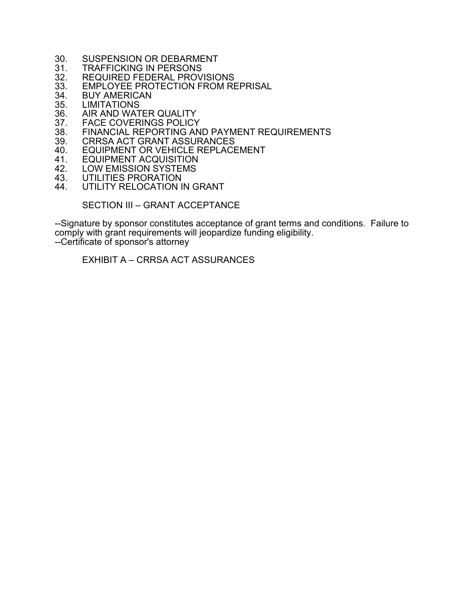- 30. SUSPENSION OR DEBARMENT<br>31. TRAFFICKING IN PERSONS
- 31. TRAFFICKING IN PERSONS<br>32. REQUIRED FEDERAL PROV
- 32. REQUIRED FEDERAL PROVISIONS<br>33. EMPLOYEE PROTECTION FROM RE
- 33. EMPLOYEE PROTECTION FROM REPRISAL<br>34. BUY AMERICAN
- 34. BUY AMERICAN<br>35. LIMITATIONS
- 35. LIMITATIONS<br>36. AIR AND WAT
- 36. AIR AND WATER QUALITY<br>37. FACE COVERINGS POLICY
- 37. FACE COVERINGS POLICY<br>38. FINANCIAL REPORTING AN
- 38. FINANCIAL REPORTING AND PAYMENT REQUIREMENTS<br>39. CRRSA ACT GRANT ASSURANCES
- 39. CRRSA ACT GRANT ASSURANCES<br>40. EQUIPMENT OR VEHICLE REPLACE
- 40. EQUIPMENT OR VEHICLE REPLACEMENT<br>41. EQUIPMENT ACQUISITION
- 41. EQUIPMENT ACQUISITION<br>42. LOW EMISSION SYSTEMS
- 42. LOW EMISSION SYSTEMS<br>43. UTILITIES PRORATION
- 43. UTILITIES PRORATION<br>44. UTILITY RELOCATION I
- UTILITY RELOCATION IN GRANT

SECTION III – GRANT ACCEPTANCE

--Signature by sponsor constitutes acceptance of grant terms and conditions. Failure to comply with grant requirements will jeopardize funding eligibility. --Certificate of sponsor's attorney

EXHIBIT A – CRRSA ACT ASSURANCES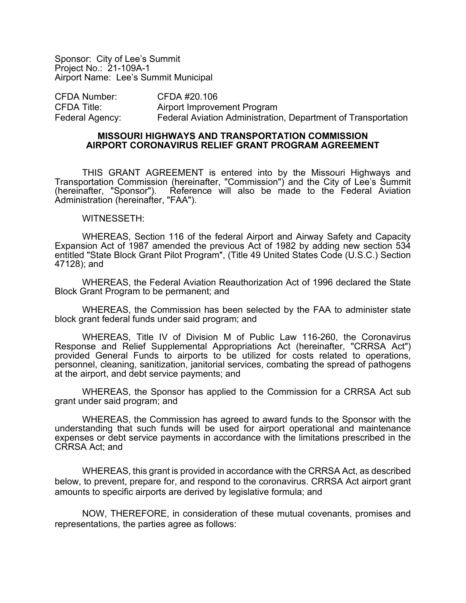Sponsor: City of Lee's Summit Project No.: 21-109A-1 Airport Name: Lee's Summit Municipal

CFDA Number: CFDA #20.106 CFDA Title: Airport Improvement Program Federal Agency: Federal Aviation Administration, Department of Transportation

#### **MISSOURI HIGHWAYS AND TRANSPORTATION COMMISSION AIRPORT CORONAVIRUS RELIEF GRANT PROGRAM AGREEMENT**

THIS GRANT AGREEMENT is entered into by the Missouri Highways and Transportation Commission (hereinafter, "Commission") and the City of Lee's Summit<br>(hereinafter. "Sponsor"). Reference will also be made to the Federal Aviation Reference will also be made to the Federal Aviation Administration (hereinafter, "FAA").

#### WITNESSETH:

WHEREAS, Section 116 of the federal Airport and Airway Safety and Capacity Expansion Act of 1987 amended the previous Act of 1982 by adding new section 534 entitled "State Block Grant Pilot Program", (Title 49 United States Code (U.S.C.) Section 47128); and

WHEREAS, the Federal Aviation Reauthorization Act of 1996 declared the State Block Grant Program to be permanent; and

WHEREAS, the Commission has been selected by the FAA to administer state block grant federal funds under said program; and

WHEREAS, Title IV of Division M of Public Law 116-260, the Coronavirus Response and Relief Supplemental Appropriations Act (hereinafter, "CRRSA Act") provided General Funds to airports to be utilized for costs related to operations, personnel, cleaning, sanitization, janitorial services, combating the spread of pathogens at the airport, and debt service payments; and

WHEREAS, the Sponsor has applied to the Commission for a CRRSA Act sub grant under said program; and

WHEREAS, the Commission has agreed to award funds to the Sponsor with the understanding that such funds will be used for airport operational and maintenance expenses or debt service payments in accordance with the limitations prescribed in the CRRSA Act; and

WHEREAS, this grant is provided in accordance with the CRRSA Act, as described below, to prevent, prepare for, and respond to the coronavirus. CRRSA Act airport grant amounts to specific airports are derived by legislative formula; and

NOW, THEREFORE, in consideration of these mutual covenants, promises and representations, the parties agree as follows: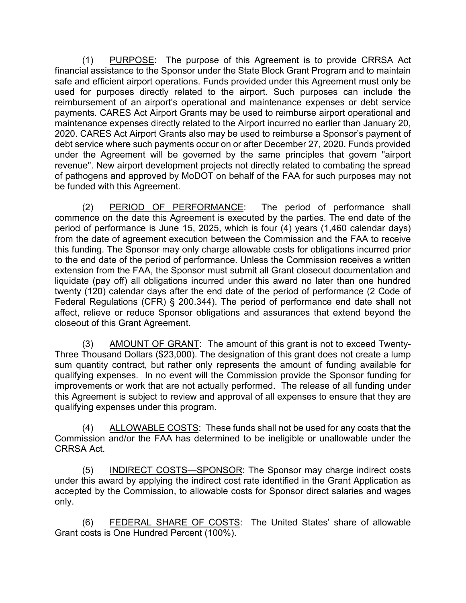(1) PURPOSE: The purpose of this Agreement is to provide CRRSA Act financial assistance to the Sponsor under the State Block Grant Program and to maintain safe and efficient airport operations. Funds provided under this Agreement must only be used for purposes directly related to the airport. Such purposes can include the reimbursement of an airport's operational and maintenance expenses or debt service payments. CARES Act Airport Grants may be used to reimburse airport operational and maintenance expenses directly related to the Airport incurred no earlier than January 20, 2020. CARES Act Airport Grants also may be used to reimburse a Sponsor's payment of debt service where such payments occur on or after December 27, 2020. Funds provided under the Agreement will be governed by the same principles that govern "airport revenue". New airport development projects not directly related to combating the spread of pathogens and approved by MoDOT on behalf of the FAA for such purposes may not be funded with this Agreement.

(2) PERIOD OF PERFORMANCE: The period of performance shall commence on the date this Agreement is executed by the parties. The end date of the period of performance is June 15, 2025, which is four (4) years (1,460 calendar days) from the date of agreement execution between the Commission and the FAA to receive this funding. The Sponsor may only charge allowable costs for obligations incurred prior to the end date of the period of performance. Unless the Commission receives a written extension from the FAA, the Sponsor must submit all Grant closeout documentation and liquidate (pay off) all obligations incurred under this award no later than one hundred twenty (120) calendar days after the end date of the period of performance (2 Code of Federal Regulations (CFR) § 200.344). The period of performance end date shall not affect, relieve or reduce Sponsor obligations and assurances that extend beyond the closeout of this Grant Agreement.

(3) AMOUNT OF GRANT: The amount of this grant is not to exceed Twenty-Three Thousand Dollars (\$23,000). The designation of this grant does not create a lump sum quantity contract, but rather only represents the amount of funding available for qualifying expenses. In no event will the Commission provide the Sponsor funding for improvements or work that are not actually performed. The release of all funding under this Agreement is subject to review and approval of all expenses to ensure that they are qualifying expenses under this program.

(4) ALLOWABLE COSTS: These funds shall not be used for any costs that the Commission and/or the FAA has determined to be ineligible or unallowable under the CRRSA Act.

(5) INDIRECT COSTS-SPONSOR: The Sponsor may charge indirect costs under this award by applying the indirect cost rate identified in the Grant Application as accepted by the Commission, to allowable costs for Sponsor direct salaries and wages only.

(6) FEDERAL SHARE OF COSTS: The United States' share of allowable Grant costs is One Hundred Percent (100%).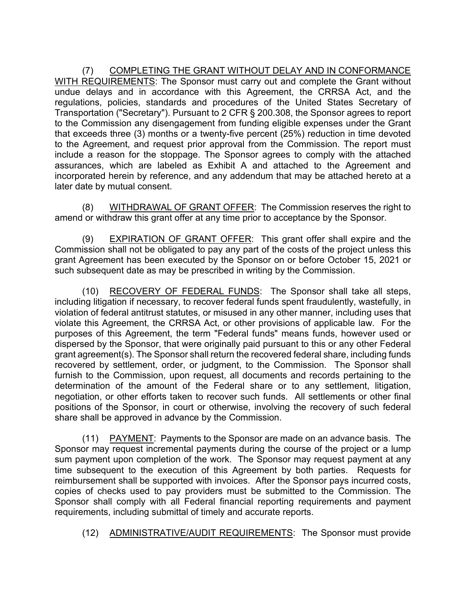(7) COMPLETING THE GRANT WITHOUT DELAY AND IN CONFORMANCE WITH REQUIREMENTS: The Sponsor must carry out and complete the Grant without undue delays and in accordance with this Agreement, the CRRSA Act, and the regulations, policies, standards and procedures of the United States Secretary of Transportation ("Secretary"). Pursuant to 2 CFR § 200.308, the Sponsor agrees to report to the Commission any disengagement from funding eligible expenses under the Grant that exceeds three (3) months or a twenty-five percent (25%) reduction in time devoted to the Agreement, and request prior approval from the Commission. The report must include a reason for the stoppage. The Sponsor agrees to comply with the attached assurances, which are labeled as Exhibit A and attached to the Agreement and incorporated herein by reference, and any addendum that may be attached hereto at a later date by mutual consent.

(8) WITHDRAWAL OF GRANT OFFER: The Commission reserves the right to amend or withdraw this grant offer at any time prior to acceptance by the Sponsor.

(9) EXPIRATION OF GRANT OFFER: This grant offer shall expire and the Commission shall not be obligated to pay any part of the costs of the project unless this grant Agreement has been executed by the Sponsor on or before October 15, 2021 or such subsequent date as may be prescribed in writing by the Commission.

(10) RECOVERY OF FEDERAL FUNDS: The Sponsor shall take all steps, including litigation if necessary, to recover federal funds spent fraudulently, wastefully, in violation of federal antitrust statutes, or misused in any other manner, including uses that violate this Agreement, the CRRSA Act, or other provisions of applicable law. For the purposes of this Agreement, the term "Federal funds" means funds, however used or dispersed by the Sponsor, that were originally paid pursuant to this or any other Federal grant agreement(s). The Sponsor shall return the recovered federal share, including funds recovered by settlement, order, or judgment, to the Commission. The Sponsor shall furnish to the Commission, upon request, all documents and records pertaining to the determination of the amount of the Federal share or to any settlement, litigation, negotiation, or other efforts taken to recover such funds. All settlements or other final positions of the Sponsor, in court or otherwise, involving the recovery of such federal share shall be approved in advance by the Commission.

(11) PAYMENT: Payments to the Sponsor are made on an advance basis. The Sponsor may request incremental payments during the course of the project or a lump sum payment upon completion of the work. The Sponsor may request payment at any time subsequent to the execution of this Agreement by both parties. Requests for reimbursement shall be supported with invoices. After the Sponsor pays incurred costs, copies of checks used to pay providers must be submitted to the Commission. The Sponsor shall comply with all Federal financial reporting requirements and payment requirements, including submittal of timely and accurate reports.

(12) ADMINISTRATIVE/AUDIT REQUIREMENTS: The Sponsor must provide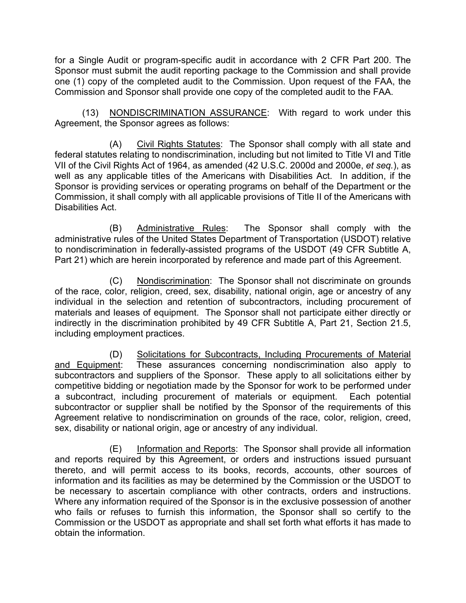for a Single Audit or program-specific audit in accordance with 2 CFR Part 200. The Sponsor must submit the audit reporting package to the Commission and shall provide one (1) copy of the completed audit to the Commission. Upon request of the FAA, the Commission and Sponsor shall provide one copy of the completed audit to the FAA.

(13) NONDISCRIMINATION ASSURANCE: With regard to work under this Agreement, the Sponsor agrees as follows:

(A) Civil Rights Statutes: The Sponsor shall comply with all state and federal statutes relating to nondiscrimination, including but not limited to Title VI and Title VII of the Civil Rights Act of 1964, as amended (42 U.S.C. 2000d and 2000e, *et seq.*), as well as any applicable titles of the Americans with Disabilities Act. In addition, if the Sponsor is providing services or operating programs on behalf of the Department or the Commission, it shall comply with all applicable provisions of Title II of the Americans with Disabilities Act.

(B) Administrative Rules: The Sponsor shall comply with the administrative rules of the United States Department of Transportation (USDOT) relative to nondiscrimination in federally-assisted programs of the USDOT (49 CFR Subtitle A, Part 21) which are herein incorporated by reference and made part of this Agreement.

(C) Nondiscrimination: The Sponsor shall not discriminate on grounds of the race, color, religion, creed, sex, disability, national origin, age or ancestry of any individual in the selection and retention of subcontractors, including procurement of materials and leases of equipment. The Sponsor shall not participate either directly or indirectly in the discrimination prohibited by 49 CFR Subtitle A, Part 21, Section 21.5, including employment practices.

(D) Solicitations for Subcontracts, Including Procurements of Material and Equipment: These assurances concerning nondiscrimination also apply to subcontractors and suppliers of the Sponsor. These apply to all solicitations either by competitive bidding or negotiation made by the Sponsor for work to be performed under a subcontract, including procurement of materials or equipment. Each potential subcontractor or supplier shall be notified by the Sponsor of the requirements of this Agreement relative to nondiscrimination on grounds of the race, color, religion, creed, sex, disability or national origin, age or ancestry of any individual.

(E) Information and Reports: The Sponsor shall provide all information and reports required by this Agreement, or orders and instructions issued pursuant thereto, and will permit access to its books, records, accounts, other sources of information and its facilities as may be determined by the Commission or the USDOT to be necessary to ascertain compliance with other contracts, orders and instructions. Where any information required of the Sponsor is in the exclusive possession of another who fails or refuses to furnish this information, the Sponsor shall so certify to the Commission or the USDOT as appropriate and shall set forth what efforts it has made to obtain the information.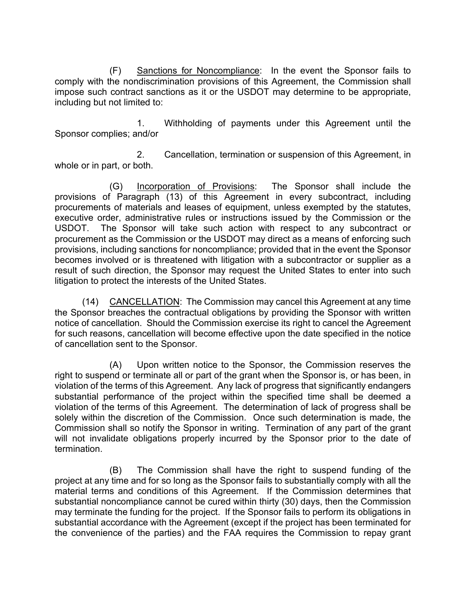(F) Sanctions for Noncompliance: In the event the Sponsor fails to comply with the nondiscrimination provisions of this Agreement, the Commission shall impose such contract sanctions as it or the USDOT may determine to be appropriate, including but not limited to:

1. Withholding of payments under this Agreement until the Sponsor complies; and/or

2. Cancellation, termination or suspension of this Agreement, in whole or in part, or both.

(G) Incorporation of Provisions: The Sponsor shall include the provisions of Paragraph (13) of this Agreement in every subcontract, including procurements of materials and leases of equipment, unless exempted by the statutes, executive order, administrative rules or instructions issued by the Commission or the USDOT. The Sponsor will take such action with respect to any subcontract or procurement as the Commission or the USDOT may direct as a means of enforcing such provisions, including sanctions for noncompliance; provided that in the event the Sponsor becomes involved or is threatened with litigation with a subcontractor or supplier as a result of such direction, the Sponsor may request the United States to enter into such litigation to protect the interests of the United States.

(14) CANCELLATION: The Commission may cancel this Agreement at any time the Sponsor breaches the contractual obligations by providing the Sponsor with written notice of cancellation. Should the Commission exercise its right to cancel the Agreement for such reasons, cancellation will become effective upon the date specified in the notice of cancellation sent to the Sponsor.

(A) Upon written notice to the Sponsor, the Commission reserves the right to suspend or terminate all or part of the grant when the Sponsor is, or has been, in violation of the terms of this Agreement. Any lack of progress that significantly endangers substantial performance of the project within the specified time shall be deemed a violation of the terms of this Agreement. The determination of lack of progress shall be solely within the discretion of the Commission. Once such determination is made, the Commission shall so notify the Sponsor in writing. Termination of any part of the grant will not invalidate obligations properly incurred by the Sponsor prior to the date of termination.

(B) The Commission shall have the right to suspend funding of the project at any time and for so long as the Sponsor fails to substantially comply with all the material terms and conditions of this Agreement. If the Commission determines that substantial noncompliance cannot be cured within thirty (30) days, then the Commission may terminate the funding for the project. If the Sponsor fails to perform its obligations in substantial accordance with the Agreement (except if the project has been terminated for the convenience of the parties) and the FAA requires the Commission to repay grant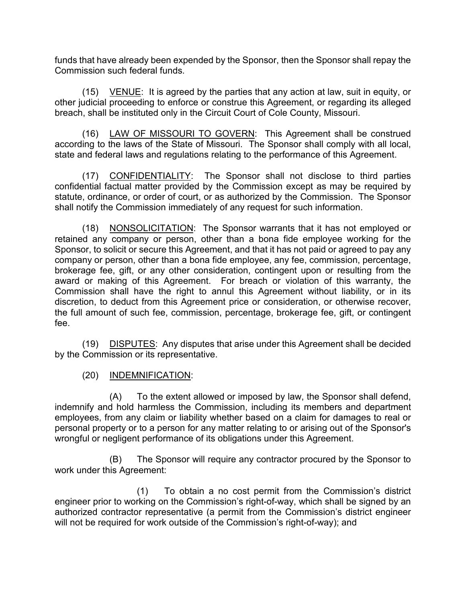funds that have already been expended by the Sponsor, then the Sponsor shall repay the Commission such federal funds.

(15) VENUE: It is agreed by the parties that any action at law, suit in equity, or other judicial proceeding to enforce or construe this Agreement, or regarding its alleged breach, shall be instituted only in the Circuit Court of Cole County, Missouri.

(16) LAW OF MISSOURI TO GOVERN: This Agreement shall be construed according to the laws of the State of Missouri. The Sponsor shall comply with all local, state and federal laws and regulations relating to the performance of this Agreement.

(17) CONFIDENTIALITY: The Sponsor shall not disclose to third parties confidential factual matter provided by the Commission except as may be required by statute, ordinance, or order of court, or as authorized by the Commission. The Sponsor shall notify the Commission immediately of any request for such information.

(18) NONSOLICITATION: The Sponsor warrants that it has not employed or retained any company or person, other than a bona fide employee working for the Sponsor, to solicit or secure this Agreement, and that it has not paid or agreed to pay any company or person, other than a bona fide employee, any fee, commission, percentage, brokerage fee, gift, or any other consideration, contingent upon or resulting from the award or making of this Agreement. For breach or violation of this warranty, the Commission shall have the right to annul this Agreement without liability, or in its discretion, to deduct from this Agreement price or consideration, or otherwise recover, the full amount of such fee, commission, percentage, brokerage fee, gift, or contingent fee.

(19) DISPUTES: Any disputes that arise under this Agreement shall be decided by the Commission or its representative.

(20) INDEMNIFICATION:

(A) To the extent allowed or imposed by law, the Sponsor shall defend, indemnify and hold harmless the Commission, including its members and department employees, from any claim or liability whether based on a claim for damages to real or personal property or to a person for any matter relating to or arising out of the Sponsor's wrongful or negligent performance of its obligations under this Agreement.

(B) The Sponsor will require any contractor procured by the Sponsor to work under this Agreement:

(1) To obtain a no cost permit from the Commission's district engineer prior to working on the Commission's right-of-way, which shall be signed by an authorized contractor representative (a permit from the Commission's district engineer will not be required for work outside of the Commission's right-of-way); and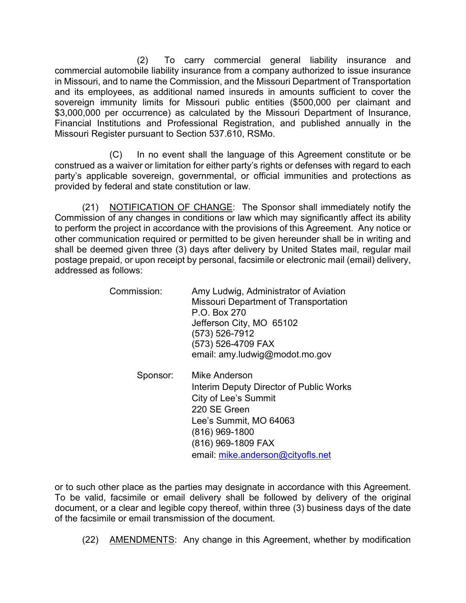(2) To carry commercial general liability insurance and commercial automobile liability insurance from a company authorized to issue insurance in Missouri, and to name the Commission, and the Missouri Department of Transportation and its employees, as additional named insureds in amounts sufficient to cover the sovereign immunity limits for Missouri public entities (\$500,000 per claimant and \$3,000,000 per occurrence) as calculated by the Missouri Department of Insurance, Financial Institutions and Professional Registration, and published annually in the Missouri Register pursuant to Section 537.610, RSMo.

(C) In no event shall the language of this Agreement constitute or be construed as a waiver or limitation for either party's rights or defenses with regard to each party's applicable sovereign, governmental, or official immunities and protections as provided by federal and state constitution or law.

(21) NOTIFICATION OF CHANGE: The Sponsor shall immediately notify the Commission of any changes in conditions or law which may significantly affect its ability to perform the project in accordance with the provisions of this Agreement. Any notice or other communication required or permitted to be given hereunder shall be in writing and shall be deemed given three (3) days after delivery by United States mail, regular mail postage prepaid, or upon receipt by personal, facsimile or electronic mail (email) delivery, addressed as follows:

| Commission:          | Amy Ludwig, Administrator of Aviation<br><b>Missouri Department of Transportation</b><br>P.O. Box 270<br>Jefferson City, MO 65102<br>(573) 526-7912<br>(573) 526-4709 FAX<br>email: amy.ludwig@modot.mo.gov |
|----------------------|-------------------------------------------------------------------------------------------------------------------------------------------------------------------------------------------------------------|
| Snonsor <sup>.</sup> | Mike Anderson                                                                                                                                                                                               |

viike Anderson Interim Deputy Director of Public Works City of Lee's Summit 220 SE Green Lee's Summit, MO 64063 (816) 969-1800 (816) 969-1809 FAX email: [mike.anderson@cityofls.net](mailto:mike.anderson@cityofls.net)

or to such other place as the parties may designate in accordance with this Agreement. To be valid, facsimile or email delivery shall be followed by delivery of the original document, or a clear and legible copy thereof, within three (3) business days of the date of the facsimile or email transmission of the document.

(22) AMENDMENTS: Any change in this Agreement, whether by modification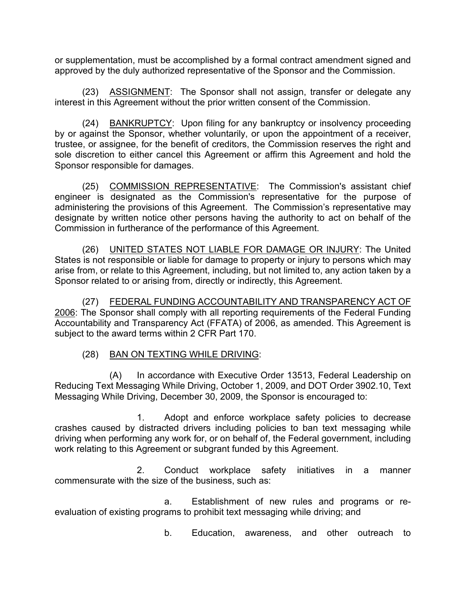or supplementation, must be accomplished by a formal contract amendment signed and approved by the duly authorized representative of the Sponsor and the Commission.

(23) ASSIGNMENT: The Sponsor shall not assign, transfer or delegate any interest in this Agreement without the prior written consent of the Commission.

(24) BANKRUPTCY: Upon filing for any bankruptcy or insolvency proceeding by or against the Sponsor, whether voluntarily, or upon the appointment of a receiver, trustee, or assignee, for the benefit of creditors, the Commission reserves the right and sole discretion to either cancel this Agreement or affirm this Agreement and hold the Sponsor responsible for damages.

(25) COMMISSION REPRESENTATIVE: The Commission's assistant chief engineer is designated as the Commission's representative for the purpose of administering the provisions of this Agreement. The Commission's representative may designate by written notice other persons having the authority to act on behalf of the Commission in furtherance of the performance of this Agreement.

(26) UNITED STATES NOT LIABLE FOR DAMAGE OR INJURY: The United States is not responsible or liable for damage to property or injury to persons which may arise from, or relate to this Agreement, including, but not limited to, any action taken by a Sponsor related to or arising from, directly or indirectly, this Agreement.

(27) FEDERAL FUNDING ACCOUNTABILITY AND TRANSPARENCY ACT OF 2006: The Sponsor shall comply with all reporting requirements of the Federal Funding Accountability and Transparency Act (FFATA) of 2006, as amended. This Agreement is subject to the award terms within 2 CFR Part 170.

# (28) BAN ON TEXTING WHILE DRIVING:

(A) In accordance with Executive Order 13513, Federal Leadership on Reducing Text Messaging While Driving, October 1, 2009, and DOT Order 3902.10, Text Messaging While Driving, December 30, 2009, the Sponsor is encouraged to:

1. Adopt and enforce workplace safety policies to decrease crashes caused by distracted drivers including policies to ban text messaging while driving when performing any work for, or on behalf of, the Federal government, including work relating to this Agreement or subgrant funded by this Agreement.

2. Conduct workplace safety initiatives in a manner commensurate with the size of the business, such as:

a. Establishment of new rules and programs or reevaluation of existing programs to prohibit text messaging while driving; and

b. Education, awareness, and other outreach to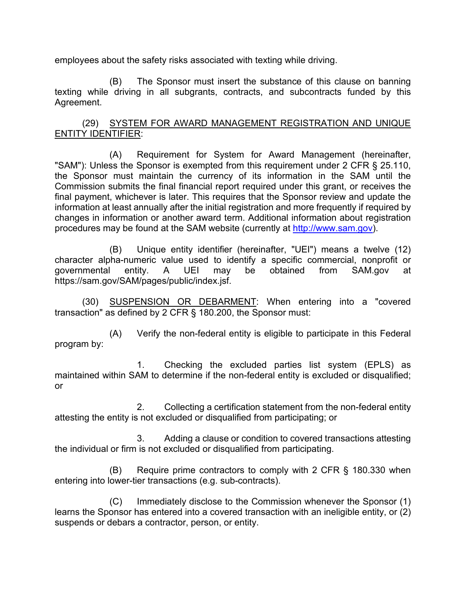employees about the safety risks associated with texting while driving.

(B) The Sponsor must insert the substance of this clause on banning texting while driving in all subgrants, contracts, and subcontracts funded by this Agreement.

# (29) SYSTEM FOR AWARD MANAGEMENT REGISTRATION AND UNIQUE ENTITY IDENTIFIER:

(A) Requirement for System for Award Management (hereinafter, "SAM"): Unless the Sponsor is exempted from this requirement under 2 CFR § 25.110, the Sponsor must maintain the currency of its information in the SAM until the Commission submits the final financial report required under this grant, or receives the final payment, whichever is later. This requires that the Sponsor review and update the information at least annually after the initial registration and more frequently if required by changes in information or another award term. Additional information about registration procedures may be found at the SAM website (currently at [http://www.sam.gov\)](http://www.sam.gov/).

(B) Unique entity identifier (hereinafter, "UEI") means a twelve (12) character alpha-numeric value used to identify a specific commercial, nonprofit or governmental entity. A UEI may be obtained from SAM.gov at https://sam.gov/SAM/pages/public/index.jsf.

(30) SUSPENSION OR DEBARMENT: When entering into a "covered transaction" as defined by 2 CFR § 180.200, the Sponsor must:

(A) Verify the non-federal entity is eligible to participate in this Federal program by:

1. Checking the excluded parties list system (EPLS) as maintained within SAM to determine if the non-federal entity is excluded or disqualified; or

2. Collecting a certification statement from the non-federal entity attesting the entity is not excluded or disqualified from participating; or

3. Adding a clause or condition to covered transactions attesting the individual or firm is not excluded or disqualified from participating.

(B) Require prime contractors to comply with 2 CFR § 180.330 when entering into lower-tier transactions (e.g. sub-contracts).

(C) Immediately disclose to the Commission whenever the Sponsor (1) learns the Sponsor has entered into a covered transaction with an ineligible entity, or (2) suspends or debars a contractor, person, or entity.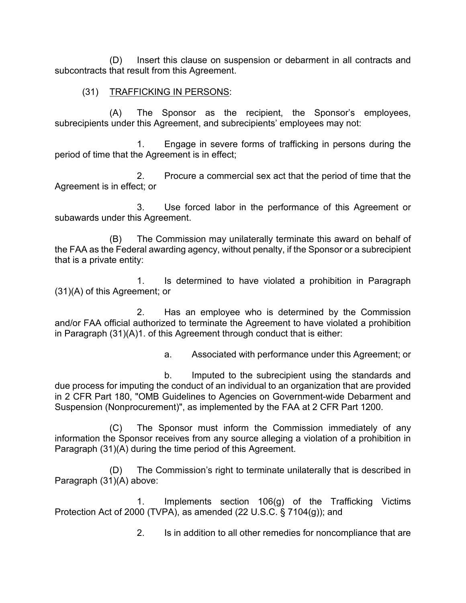(D) Insert this clause on suspension or debarment in all contracts and subcontracts that result from this Agreement.

### (31) TRAFFICKING IN PERSONS:

(A) The Sponsor as the recipient, the Sponsor's employees, subrecipients under this Agreement, and subrecipients' employees may not:

1. Engage in severe forms of trafficking in persons during the period of time that the Agreement is in effect;

2. Procure a commercial sex act that the period of time that the Agreement is in effect; or

3. Use forced labor in the performance of this Agreement or subawards under this Agreement.

(B) The Commission may unilaterally terminate this award on behalf of the FAA as the Federal awarding agency, without penalty, if the Sponsor or a subrecipient that is a private entity:

1. Is determined to have violated a prohibition in Paragraph (31)(A) of this Agreement; or

2. Has an employee who is determined by the Commission and/or FAA official authorized to terminate the Agreement to have violated a prohibition in Paragraph (31)(A)1. of this Agreement through conduct that is either:

a. Associated with performance under this Agreement; or

b. Imputed to the subrecipient using the standards and due process for imputing the conduct of an individual to an organization that are provided in 2 CFR Part 180, "OMB Guidelines to Agencies on Government-wide Debarment and Suspension (Nonprocurement)", as implemented by the FAA at 2 CFR Part 1200.

(C) The Sponsor must inform the Commission immediately of any information the Sponsor receives from any source alleging a violation of a prohibition in Paragraph (31)(A) during the time period of this Agreement.

(D) The Commission's right to terminate unilaterally that is described in Paragraph (31)(A) above:

1. Implements section 106(g) of the Trafficking Victims Protection Act of 2000 (TVPA), as amended (22 U.S.C. § 7104(g)); and

2. Is in addition to all other remedies for noncompliance that are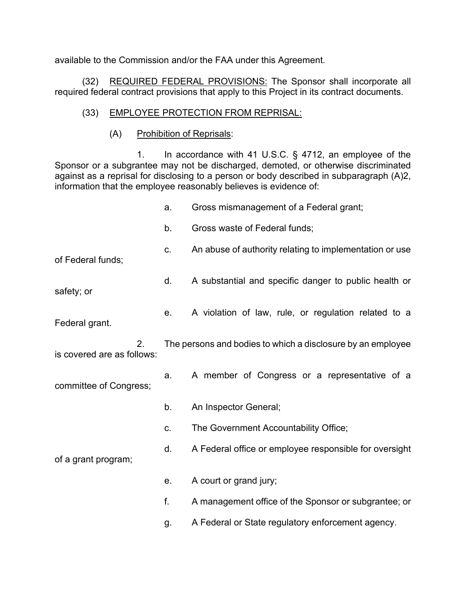available to the Commission and/or the FAA under this Agreement.

(32) REQUIRED FEDERAL PROVISIONS: The Sponsor shall incorporate all required federal contract provisions that apply to this Project in its contract documents.

# (33) EMPLOYEE PROTECTION FROM REPRISAL:

(A) Prohibition of Reprisals:

1. In accordance with 41 U.S.C. § 4712, an employee of the Sponsor or a subgrantee may not be discharged, demoted, or otherwise discriminated against as a reprisal for disclosing to a person or body described in subparagraph (A)2, information that the employee reasonably believes is evidence of:

|                                  | a.          | Gross mismanagement of a Federal grant;                     |
|----------------------------------|-------------|-------------------------------------------------------------|
|                                  | b.          | Gross waste of Federal funds;                               |
| of Federal funds;                | C.          | An abuse of authority relating to implementation or use     |
| safety; or                       | d.          | A substantial and specific danger to public health or       |
| Federal grant.                   | е.          | A violation of law, rule, or regulation related to a        |
| 2.<br>is covered are as follows: |             | The persons and bodies to which a disclosure by an employee |
| committee of Congress;           | a.          | A member of Congress or a representative of a               |
| of a grant program;              | b.          | An Inspector General;                                       |
|                                  | C.          | The Government Accountability Office;                       |
|                                  | d.          | A Federal office or employee responsible for oversight      |
|                                  | $e_{\cdot}$ | A court or grand jury;                                      |
|                                  | f.          | A management office of the Sponsor or subgrantee; or        |
|                                  | g.          | A Federal or State regulatory enforcement agency.           |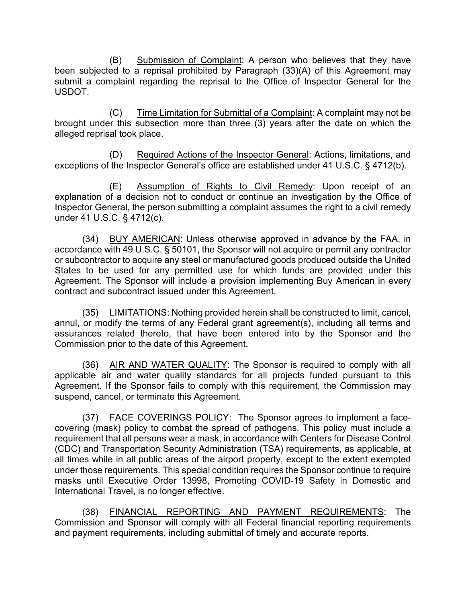(B) Submission of Complaint: A person who believes that they have been subjected to a reprisal prohibited by Paragraph (33)(A) of this Agreement may submit a complaint regarding the reprisal to the Office of Inspector General for the USDOT.

(C) Time Limitation for Submittal of a Complaint: A complaint may not be brought under this subsection more than three  $(3)$  years after the date on which the alleged reprisal took place.

(D) Required Actions of the Inspector General: Actions, limitations, and exceptions of the Inspector General's office are established under 41 U.S.C. § 4712(b).

(E) Assumption of Rights to Civil Remedy: Upon receipt of an explanation of a decision not to conduct or continue an investigation by the Office of Inspector General, the person submitting a complaint assumes the right to a civil remedy under 41 U.S.C. § 4712(c).

(34) BUY AMERICAN: Unless otherwise approved in advance by the FAA, in accordance with 49 U.S.C. § 50101, the Sponsor will not acquire or permit any contractor or subcontractor to acquire any steel or manufactured goods produced outside the United States to be used for any permitted use for which funds are provided under this Agreement. The Sponsor will include a provision implementing Buy American in every contract and subcontract issued under this Agreement.

(35) LIMITATIONS: Nothing provided herein shall be constructed to limit, cancel, annul, or modify the terms of any Federal grant agreement(s), including all terms and assurances related thereto, that have been entered into by the Sponsor and the Commission prior to the date of this Agreement.

(36) AIR AND WATER QUALITY: The Sponsor is required to comply with all applicable air and water quality standards for all projects funded pursuant to this Agreement. If the Sponsor fails to comply with this requirement, the Commission may suspend, cancel, or terminate this Agreement.

(37) FACE COVERINGS POLICY: The Sponsor agrees to implement a facecovering (mask) policy to combat the spread of pathogens. This policy must include a requirement that all persons wear a mask, in accordance with Centers for Disease Control (CDC) and Transportation Security Administration (TSA) requirements, as applicable, at all times while in all public areas of the airport property, except to the extent exempted under those requirements. This special condition requires the Sponsor continue to require masks until Executive Order 13998, Promoting COVID-19 Safety in Domestic and International Travel, is no longer effective.

(38) FINANCIAL REPORTING AND PAYMENT REQUIREMENTS: The Commission and Sponsor will comply with all Federal financial reporting requirements and payment requirements, including submittal of timely and accurate reports.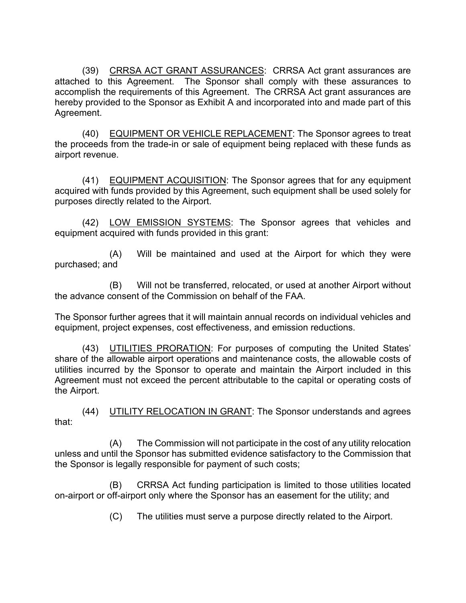(39) CRRSA ACT GRANT ASSURANCES: CRRSA Act grant assurances are attached to this Agreement. The Sponsor shall comply with these assurances to accomplish the requirements of this Agreement. The CRRSA Act grant assurances are hereby provided to the Sponsor as Exhibit A and incorporated into and made part of this Agreement.

(40) EQUIPMENT OR VEHICLE REPLACEMENT: The Sponsor agrees to treat the proceeds from the trade-in or sale of equipment being replaced with these funds as airport revenue.

(41) EQUIPMENT ACQUISITION: The Sponsor agrees that for any equipment acquired with funds provided by this Agreement, such equipment shall be used solely for purposes directly related to the Airport.

(42) LOW EMISSION SYSTEMS: The Sponsor agrees that vehicles and equipment acquired with funds provided in this grant:

(A) Will be maintained and used at the Airport for which they were purchased; and

(B) Will not be transferred, relocated, or used at another Airport without the advance consent of the Commission on behalf of the FAA.

The Sponsor further agrees that it will maintain annual records on individual vehicles and equipment, project expenses, cost effectiveness, and emission reductions.

(43) UTILITIES PRORATION: For purposes of computing the United States' share of the allowable airport operations and maintenance costs, the allowable costs of utilities incurred by the Sponsor to operate and maintain the Airport included in this Agreement must not exceed the percent attributable to the capital or operating costs of the Airport.

(44) UTILITY RELOCATION IN GRANT: The Sponsor understands and agrees that:

(A) The Commission will not participate in the cost of any utility relocation unless and until the Sponsor has submitted evidence satisfactory to the Commission that the Sponsor is legally responsible for payment of such costs;

(B) CRRSA Act funding participation is limited to those utilities located on-airport or off-airport only where the Sponsor has an easement for the utility; and

(C) The utilities must serve a purpose directly related to the Airport.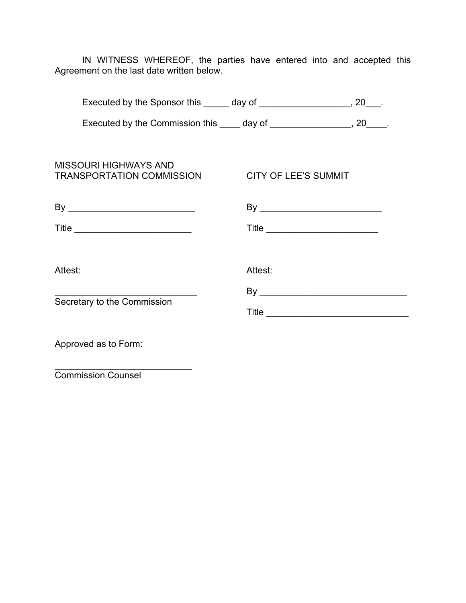IN WITNESS WHEREOF, the parties have entered into and accepted this Agreement on the last date written below.

|                                                           | Executed by the Sponsor this ______ day of ___________________, 20___.  |
|-----------------------------------------------------------|-------------------------------------------------------------------------|
|                                                           | Executed by the Commission this _____ day of _________________, 20____. |
| <b>MISSOURI HIGHWAYS AND</b><br>TRANSPORTATION COMMISSION | <b>CITY OF LEE'S SUMMIT</b>                                             |
|                                                           |                                                                         |
|                                                           |                                                                         |
|                                                           |                                                                         |
| Attest:                                                   | Attest:                                                                 |
| Secretary to the Commission                               |                                                                         |
|                                                           |                                                                         |
| Approved as to Form:                                      |                                                                         |

Commission Counsel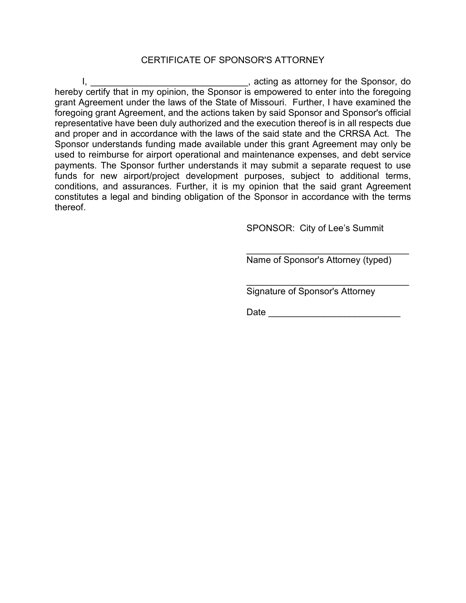### CERTIFICATE OF SPONSOR'S ATTORNEY

I, \_\_\_\_\_\_\_\_\_\_\_\_\_\_\_\_\_\_\_\_\_\_\_\_\_\_\_\_\_\_\_, acting as attorney for the Sponsor, do hereby certify that in my opinion, the Sponsor is empowered to enter into the foregoing grant Agreement under the laws of the State of Missouri. Further, I have examined the foregoing grant Agreement, and the actions taken by said Sponsor and Sponsor's official representative have been duly authorized and the execution thereof is in all respects due and proper and in accordance with the laws of the said state and the CRRSA Act. The Sponsor understands funding made available under this grant Agreement may only be used to reimburse for airport operational and maintenance expenses, and debt service payments. The Sponsor further understands it may submit a separate request to use funds for new airport/project development purposes, subject to additional terms, conditions, and assurances. Further, it is my opinion that the said grant Agreement constitutes a legal and binding obligation of the Sponsor in accordance with the terms thereof.

SPONSOR: City of Lee's Summit

Name of Sponsor's Attorney (typed)

\_\_\_\_\_\_\_\_\_\_\_\_\_\_\_\_\_\_\_\_\_\_\_\_\_\_\_\_\_\_\_\_

\_\_\_\_\_\_\_\_\_\_\_\_\_\_\_\_\_\_\_\_\_\_\_\_\_\_\_\_\_\_\_\_ Signature of Sponsor's Attorney

Date \_\_\_\_\_\_\_\_\_\_\_\_\_\_\_\_\_\_\_\_\_\_\_\_\_\_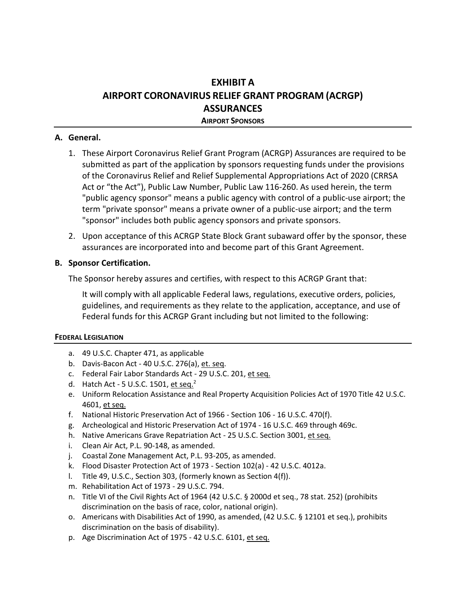# **EXHIBIT A AIRPORT CORONAVIRUS RELIEF GRANT PROGRAM (ACRGP) ASSURANCES**

**AIRPORT SPONSORS**

#### **A. General.**

- 1. These Airport Coronavirus Relief Grant Program (ACRGP) Assurances are required to be submitted as part of the application by sponsors requesting funds under the provisions of the Coronavirus Relief and Relief Supplemental Appropriations Act of 2020 (CRRSA Act or "the Act"), Public Law Number, Public Law 116-260. As used herein, the term "public agency sponsor" means a public agency with control of a public-use airport; the term "private sponsor" means a private owner of a public-use airport; and the term "sponsor" includes both public agency sponsors and private sponsors.
- 2. Upon acceptance of this ACRGP State Block Grant subaward offer by the sponsor, these assurances are incorporated into and become part of this Grant Agreement.

#### **B. Sponsor Certification.**

The Sponsor hereby assures and certifies, with respect to this ACRGP Grant that:

It will comply with all applicable Federal laws, regulations, executive orders, policies, guidelines, and requirements as they relate to the application, acceptance, and use of Federal funds for this ACRGP Grant including but not limited to the following:

#### **FEDERAL LEGISLATION**

- a. 49 U.S.C. Chapter 471, as applicable
- b. Davis-Bacon Act 40 U.S.C. 276(a), et. seq.
- c. Federal Fair Labor Standards Act 29 U.S.C. 201, et seq.
- d. Hatch Act 5 U.S.C. 1501, et seq. $<sup>2</sup>$ </sup>
- e. Uniform Relocation Assistance and Real Property Acquisition Policies Act of 1970 Title 42 U.S.C. 4601, et seq.
- f. National Historic Preservation Act of 1966 Section 106 16 U.S.C. 470(f).
- g. Archeological and Historic Preservation Act of 1974 16 U.S.C. 469 through 469c.
- h. Native Americans Grave Repatriation Act 25 U.S.C. Section 3001, et seq.
- i. Clean Air Act, P.L. 90-148, as amended.
- j. Coastal Zone Management Act, P.L. 93-205, as amended.
- k. Flood Disaster Protection Act of 1973 Section 102(a) 42 U.S.C. 4012a.
- l. Title 49, U.S.C., Section 303, (formerly known as Section 4(f)).
- m. Rehabilitation Act of 1973 29 U.S.C. 794.
- n. Title VI of the Civil Rights Act of 1964 (42 U.S.C. § 2000d et seq., 78 stat. 252) (prohibits discrimination on the basis of race, color, national origin).
- o. Americans with Disabilities Act of 1990, as amended, (42 U.S.C. § 12101 et seq.), prohibits discrimination on the basis of disability).
- p. Age Discrimination Act of 1975 42 U.S.C. 6101, et seq.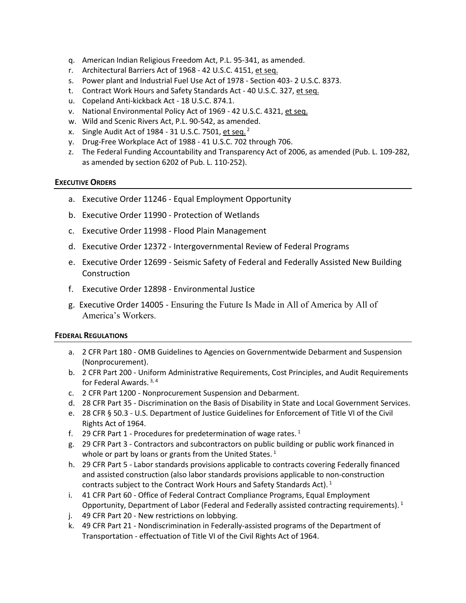- q. American Indian Religious Freedom Act, P.L. 95-341, as amended.
- r. Architectural Barriers Act of 1968 42 U.S.C. 4151, et seq.
- s. Power plant and Industrial Fuel Use Act of 1978 Section 403- 2 U.S.C. 8373.
- t. Contract Work Hours and Safety Standards Act 40 U.S.C. 327, et seq.
- u. Copeland Anti-kickback Act 18 U.S.C. 874.1.
- v. National Environmental Policy Act of 1969 42 U.S.C. 4321, et seq.
- w. Wild and Scenic Rivers Act, P.L. 90-542, as amended.
- x. Single Audit Act of 1984 31 U.S.C. 7501, et seq.  $2^2$
- y. Drug-Free Workplace Act of 1988 41 U.S.C. 702 through 706.
- z. The Federal Funding Accountability and Transparency Act of 2006, as amended (Pub. L. 109-282, as amended by section 6202 of Pub. L. 110-252).

#### **EXECUTIVE ORDERS**

- a. Executive Order 11246 Equal Employment Opportunity
- b. Executive Order 11990 Protection of Wetlands
- c. Executive Order 11998 Flood Plain Management
- d. Executive Order 12372 Intergovernmental Review of Federal Programs
- e. Executive Order 12699 Seismic Safety of Federal and Federally Assisted New Building Construction
- f. Executive Order 12898 Environmental Justice
- g. Executive Order 14005 Ensuring the Future Is Made in All of America by All of America's Workers.

#### **FEDERAL REGULATIONS**

- a. 2 CFR Part 180 OMB Guidelines to Agencies on Governmentwide Debarment and Suspension (Nonprocurement).
- b. 2 CFR Part 200 Uniform Administrative Requirements, Cost Principles, and Audit Requirements for Federal Awards.  $3, 4$
- c. 2 CFR Part 1200 Nonprocurement Suspension and Debarment.
- d. 28 CFR Part 35 Discrimination on the Basis of Disability in State and Local Government Services.
- e. 28 CFR § 50.3 U.S. Department of Justice Guidelines for Enforcement of Title VI of the Civil Rights Act of 1964.
- f. 29 CFR Part 1 Procedures for predetermination of wage rates.<sup>1</sup>
- g. 29 CFR Part 3 Contractors and subcontractors on public building or public work financed in whole or part by loans or grants from the United States.<sup>1</sup>
- h. 29 CFR Part 5 Labor standards provisions applicable to contracts covering Federally financed and assisted construction (also labor standards provisions applicable to non-construction contracts subject to the Contract Work Hours and Safety Standards Act). <sup>1</sup>
- i. 41 CFR Part 60 Office of Federal Contract Compliance Programs, Equal Employment Opportunity, Department of Labor (Federal and Federally assisted contracting requirements).<sup>1</sup>
- j. 49 CFR Part 20 New restrictions on lobbying.
- k. 49 CFR Part 21 Nondiscrimination in Federally-assisted programs of the Department of Transportation - effectuation of Title VI of the Civil Rights Act of 1964.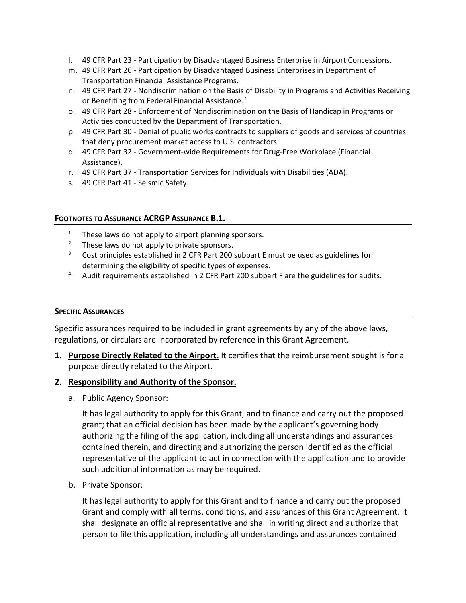- l. 49 CFR Part 23 Participation by Disadvantaged Business Enterprise in Airport Concessions.
- m. 49 CFR Part 26 Participation by Disadvantaged Business Enterprises in Department of Transportation Financial Assistance Programs.
- n. 49 CFR Part 27 Nondiscrimination on the Basis of Disability in Programs and Activities Receiving or Benefiting from Federal Financial Assistance.<sup>1</sup>
- o. 49 CFR Part 28 Enforcement of Nondiscrimination on the Basis of Handicap in Programs or Activities conducted by the Department of Transportation.
- p. 49 CFR Part 30 Denial of public works contracts to suppliers of goods and services of countries that deny procurement market access to U.S. contractors.
- q. 49 CFR Part 32 Government-wide Requirements for Drug-Free Workplace (Financial Assistance).
- r. 49 CFR Part 37 Transportation Services for Individuals with Disabilities (ADA).
- s. 49 CFR Part 41 Seismic Safety.

#### **FOOTNOTES TO ASSURANCE ACRGP ASSURANCE B.1.**

- These laws do not apply to airport planning sponsors.
- <sup>2</sup> These laws do not apply to private sponsors.
- $3$  Cost principles established in 2 CFR Part 200 subpart E must be used as guidelines for determining the eligibility of specific types of expenses.
- 4 Audit requirements established in 2 CFR Part 200 subpart F are the guidelines for audits.

#### **SPECIFIC ASSURANCES**

Specific assurances required to be included in grant agreements by any of the above laws, regulations, or circulars are incorporated by reference in this Grant Agreement.

**1. Purpose Directly Related to the Airport.** It certifies that the reimbursement sought is for a purpose directly related to the Airport.

#### **2. Responsibility and Authority of the Sponsor.**

a. Public Agency Sponsor:

It has legal authority to apply for this Grant, and to finance and carry out the proposed grant; that an official decision has been made by the applicant's governing body authorizing the filing of the application, including all understandings and assurances contained therein, and directing and authorizing the person identified as the official representative of the applicant to act in connection with the application and to provide such additional information as may be required.

b. Private Sponsor:

It has legal authority to apply for this Grant and to finance and carry out the proposed Grant and comply with all terms, conditions, and assurances of this Grant Agreement. It shall designate an official representative and shall in writing direct and authorize that person to file this application, including all understandings and assurances contained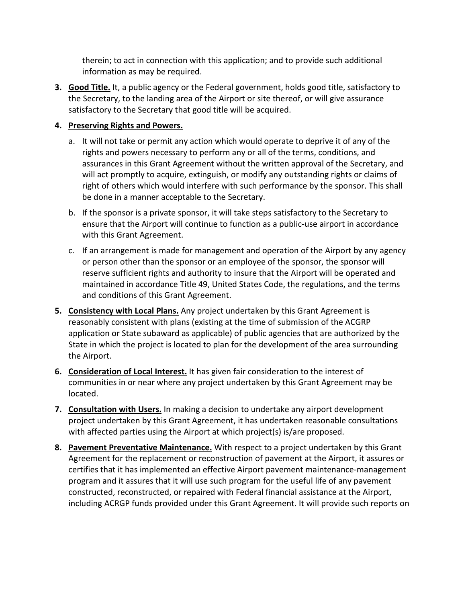therein; to act in connection with this application; and to provide such additional information as may be required.

**3. Good Title.** It, a public agency or the Federal government, holds good title, satisfactory to the Secretary, to the landing area of the Airport or site thereof, or will give assurance satisfactory to the Secretary that good title will be acquired.

### **4. Preserving Rights and Powers.**

- a. It will not take or permit any action which would operate to deprive it of any of the rights and powers necessary to perform any or all of the terms, conditions, and assurances in this Grant Agreement without the written approval of the Secretary, and will act promptly to acquire, extinguish, or modify any outstanding rights or claims of right of others which would interfere with such performance by the sponsor. This shall be done in a manner acceptable to the Secretary.
- b. If the sponsor is a private sponsor, it will take steps satisfactory to the Secretary to ensure that the Airport will continue to function as a public-use airport in accordance with this Grant Agreement.
- c. If an arrangement is made for management and operation of the Airport by any agency or person other than the sponsor or an employee of the sponsor, the sponsor will reserve sufficient rights and authority to insure that the Airport will be operated and maintained in accordance Title 49, United States Code, the regulations, and the terms and conditions of this Grant Agreement.
- **5. Consistency with Local Plans.** Any project undertaken by this Grant Agreement is reasonably consistent with plans (existing at the time of submission of the ACGRP application or State subaward as applicable) of public agencies that are authorized by the State in which the project is located to plan for the development of the area surrounding the Airport.
- **6. Consideration of Local Interest.** It has given fair consideration to the interest of communities in or near where any project undertaken by this Grant Agreement may be located.
- **7. Consultation with Users.** In making a decision to undertake any airport development project undertaken by this Grant Agreement, it has undertaken reasonable consultations with affected parties using the Airport at which project(s) is/are proposed.
- **8. Pavement Preventative Maintenance.** With respect to a project undertaken by this Grant Agreement for the replacement or reconstruction of pavement at the Airport, it assures or certifies that it has implemented an effective Airport pavement maintenance-management program and it assures that it will use such program for the useful life of any pavement constructed, reconstructed, or repaired with Federal financial assistance at the Airport, including ACRGP funds provided under this Grant Agreement. It will provide such reports on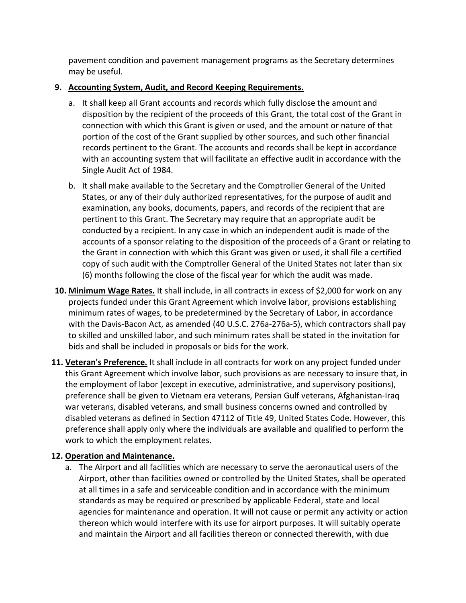pavement condition and pavement management programs as the Secretary determines may be useful.

### **9. Accounting System, Audit, and Record Keeping Requirements.**

- a. It shall keep all Grant accounts and records which fully disclose the amount and disposition by the recipient of the proceeds of this Grant, the total cost of the Grant in connection with which this Grant is given or used, and the amount or nature of that portion of the cost of the Grant supplied by other sources, and such other financial records pertinent to the Grant. The accounts and records shall be kept in accordance with an accounting system that will facilitate an effective audit in accordance with the Single Audit Act of 1984.
- b. It shall make available to the Secretary and the Comptroller General of the United States, or any of their duly authorized representatives, for the purpose of audit and examination, any books, documents, papers, and records of the recipient that are pertinent to this Grant. The Secretary may require that an appropriate audit be conducted by a recipient. In any case in which an independent audit is made of the accounts of a sponsor relating to the disposition of the proceeds of a Grant or relating to the Grant in connection with which this Grant was given or used, it shall file a certified copy of such audit with the Comptroller General of the United States not later than six (6) months following the close of the fiscal year for which the audit was made.
- **10. Minimum Wage Rates.** It shall include, in all contracts in excess of \$2,000 for work on any projects funded under this Grant Agreement which involve labor, provisions establishing minimum rates of wages, to be predetermined by the Secretary of Labor, in accordance with the Davis-Bacon Act, as amended (40 U.S.C. 276a-276a-5), which contractors shall pay to skilled and unskilled labor, and such minimum rates shall be stated in the invitation for bids and shall be included in proposals or bids for the work.
- **11. Veteran's Preference.** It shall include in all contracts for work on any project funded under this Grant Agreement which involve labor, such provisions as are necessary to insure that, in the employment of labor (except in executive, administrative, and supervisory positions), preference shall be given to Vietnam era veterans, Persian Gulf veterans, Afghanistan-Iraq war veterans, disabled veterans, and small business concerns owned and controlled by disabled veterans as defined in Section 47112 of Title 49, United States Code. However, this preference shall apply only where the individuals are available and qualified to perform the work to which the employment relates.

# **12. Operation and Maintenance.**

a. The Airport and all facilities which are necessary to serve the aeronautical users of the Airport, other than facilities owned or controlled by the United States, shall be operated at all times in a safe and serviceable condition and in accordance with the minimum standards as may be required or prescribed by applicable Federal, state and local agencies for maintenance and operation. It will not cause or permit any activity or action thereon which would interfere with its use for airport purposes. It will suitably operate and maintain the Airport and all facilities thereon or connected therewith, with due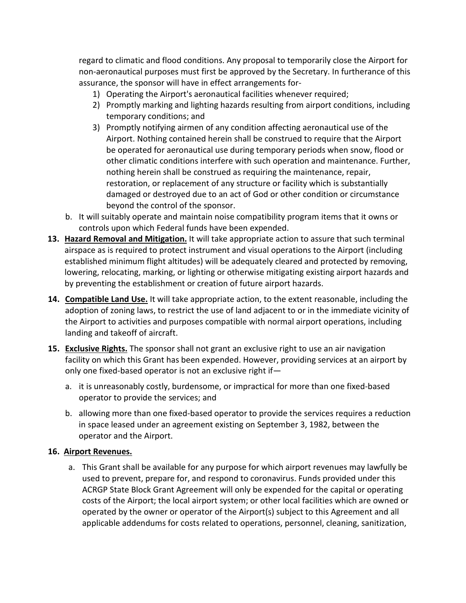regard to climatic and flood conditions. Any proposal to temporarily close the Airport for non-aeronautical purposes must first be approved by the Secretary. In furtherance of this assurance, the sponsor will have in effect arrangements for-

- 1) Operating the Airport's aeronautical facilities whenever required;
- 2) Promptly marking and lighting hazards resulting from airport conditions, including temporary conditions; and
- 3) Promptly notifying airmen of any condition affecting aeronautical use of the Airport. Nothing contained herein shall be construed to require that the Airport be operated for aeronautical use during temporary periods when snow, flood or other climatic conditions interfere with such operation and maintenance. Further, nothing herein shall be construed as requiring the maintenance, repair, restoration, or replacement of any structure or facility which is substantially damaged or destroyed due to an act of God or other condition or circumstance beyond the control of the sponsor.
- b. It will suitably operate and maintain noise compatibility program items that it owns or controls upon which Federal funds have been expended.
- **13. Hazard Removal and Mitigation.** It will take appropriate action to assure that such terminal airspace as is required to protect instrument and visual operations to the Airport (including established minimum flight altitudes) will be adequately cleared and protected by removing, lowering, relocating, marking, or lighting or otherwise mitigating existing airport hazards and by preventing the establishment or creation of future airport hazards.
- **14. Compatible Land Use.** It will take appropriate action, to the extent reasonable, including the adoption of zoning laws, to restrict the use of land adjacent to or in the immediate vicinity of the Airport to activities and purposes compatible with normal airport operations, including landing and takeoff of aircraft.
- **15. Exclusive Rights.** The sponsor shall not grant an exclusive right to use an air navigation facility on which this Grant has been expended. However, providing services at an airport by only one fixed-based operator is not an exclusive right if
	- a. it is unreasonably costly, burdensome, or impractical for more than one fixed-based operator to provide the services; and
	- b. allowing more than one fixed-based operator to provide the services requires a reduction in space leased under an agreement existing on September 3, 1982, between the operator and the Airport.

### **16. Airport Revenues.**

a. This Grant shall be available for any purpose for which airport revenues may lawfully be used to prevent, prepare for, and respond to coronavirus. Funds provided under this ACRGP State Block Grant Agreement will only be expended for the capital or operating costs of the Airport; the local airport system; or other local facilities which are owned or operated by the owner or operator of the Airport(s) subject to this Agreement and all applicable addendums for costs related to operations, personnel, cleaning, sanitization,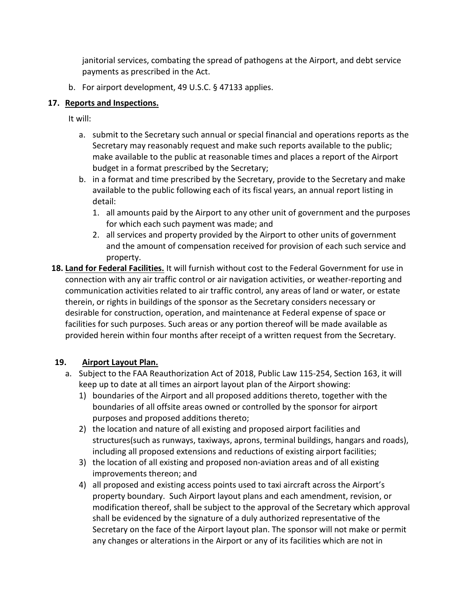janitorial services, combating the spread of pathogens at the Airport, and debt service payments as prescribed in the Act.

b. For airport development, 49 U.S.C. § 47133 applies.

# **17. Reports and Inspections.**

It will:

- a. submit to the Secretary such annual or special financial and operations reports as the Secretary may reasonably request and make such reports available to the public; make available to the public at reasonable times and places a report of the Airport budget in a format prescribed by the Secretary;
- b. in a format and time prescribed by the Secretary, provide to the Secretary and make available to the public following each of its fiscal years, an annual report listing in detail:
	- 1. all amounts paid by the Airport to any other unit of government and the purposes for which each such payment was made; and
	- 2. all services and property provided by the Airport to other units of government and the amount of compensation received for provision of each such service and property.
- **18. Land for Federal Facilities.** It will furnish without cost to the Federal Government for use in connection with any air traffic control or air navigation activities, or weather-reporting and communication activities related to air traffic control, any areas of land or water, or estate therein, or rights in buildings of the sponsor as the Secretary considers necessary or desirable for construction, operation, and maintenance at Federal expense of space or facilities for such purposes. Such areas or any portion thereof will be made available as provided herein within four months after receipt of a written request from the Secretary.

# **19. Airport Layout Plan.**

- a. Subject to the FAA Reauthorization Act of 2018, Public Law 115-254, Section 163, it will keep up to date at all times an airport layout plan of the Airport showing:
	- 1) boundaries of the Airport and all proposed additions thereto, together with the boundaries of all offsite areas owned or controlled by the sponsor for airport purposes and proposed additions thereto;
	- 2) the location and nature of all existing and proposed airport facilities and structures(such as runways, taxiways, aprons, terminal buildings, hangars and roads), including all proposed extensions and reductions of existing airport facilities;
	- 3) the location of all existing and proposed non-aviation areas and of all existing improvements thereon; and
	- 4) all proposed and existing access points used to taxi aircraft across the Airport's property boundary. Such Airport layout plans and each amendment, revision, or modification thereof, shall be subject to the approval of the Secretary which approval shall be evidenced by the signature of a duly authorized representative of the Secretary on the face of the Airport layout plan. The sponsor will not make or permit any changes or alterations in the Airport or any of its facilities which are not in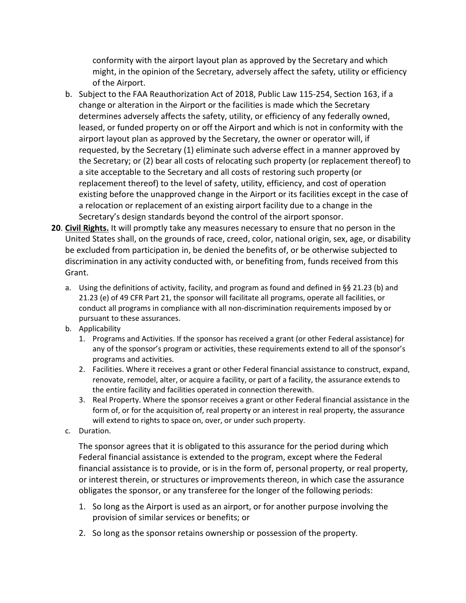conformity with the airport layout plan as approved by the Secretary and which might, in the opinion of the Secretary, adversely affect the safety, utility or efficiency of the Airport.

- b. Subject to the FAA Reauthorization Act of 2018, Public Law 115-254, Section 163, if a change or alteration in the Airport or the facilities is made which the Secretary determines adversely affects the safety, utility, or efficiency of any federally owned, leased, or funded property on or off the Airport and which is not in conformity with the airport layout plan as approved by the Secretary, the owner or operator will, if requested, by the Secretary (1) eliminate such adverse effect in a manner approved by the Secretary; or (2) bear all costs of relocating such property (or replacement thereof) to a site acceptable to the Secretary and all costs of restoring such property (or replacement thereof) to the level of safety, utility, efficiency, and cost of operation existing before the unapproved change in the Airport or its facilities except in the case of a relocation or replacement of an existing airport facility due to a change in the Secretary's design standards beyond the control of the airport sponsor.
- **20**. **Civil Rights.** It will promptly take any measures necessary to ensure that no person in the United States shall, on the grounds of race, creed, color, national origin, sex, age, or disability be excluded from participation in, be denied the benefits of, or be otherwise subjected to discrimination in any activity conducted with, or benefiting from, funds received from this Grant.
	- a. Using the definitions of activity, facility, and program as found and defined in §§ 21.23 (b) and 21.23 (e) of 49 CFR Part 21, the sponsor will facilitate all programs, operate all facilities, or conduct all programs in compliance with all non-discrimination requirements imposed by or pursuant to these assurances.
	- b. Applicability
		- 1. Programs and Activities. If the sponsor has received a grant (or other Federal assistance) for any of the sponsor's program or activities, these requirements extend to all of the sponsor's programs and activities.
		- 2. Facilities. Where it receives a grant or other Federal financial assistance to construct, expand, renovate, remodel, alter, or acquire a facility, or part of a facility, the assurance extends to the entire facility and facilities operated in connection therewith.
		- 3. Real Property. Where the sponsor receives a grant or other Federal financial assistance in the form of, or for the acquisition of, real property or an interest in real property, the assurance will extend to rights to space on, over, or under such property.
	- c. Duration.

The sponsor agrees that it is obligated to this assurance for the period during which Federal financial assistance is extended to the program, except where the Federal financial assistance is to provide, or is in the form of, personal property, or real property, or interest therein, or structures or improvements thereon, in which case the assurance obligates the sponsor, or any transferee for the longer of the following periods:

- 1. So long as the Airport is used as an airport, or for another purpose involving the provision of similar services or benefits; or
- 2. So long as the sponsor retains ownership or possession of the property.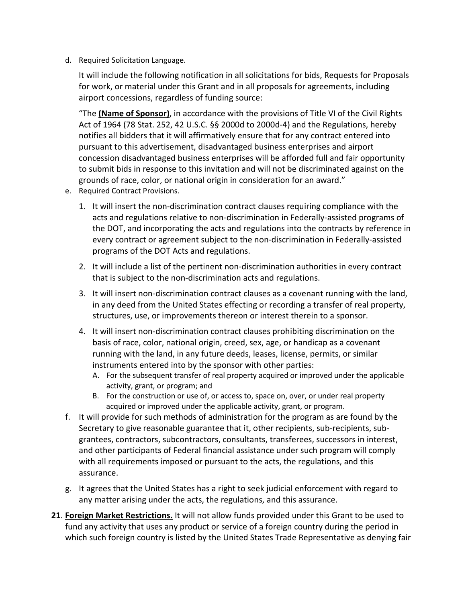d. Required Solicitation Language.

It will include the following notification in all solicitations for bids, Requests for Proposals for work, or material under this Grant and in all proposals for agreements, including airport concessions, regardless of funding source:

"The **(Name of Sponsor)**, in accordance with the provisions of Title VI of the Civil Rights Act of 1964 (78 Stat. 252, 42 U.S.C. §§ 2000d to 2000d-4) and the Regulations, hereby notifies all bidders that it will affirmatively ensure that for any contract entered into pursuant to this advertisement, disadvantaged business enterprises and airport concession disadvantaged business enterprises will be afforded full and fair opportunity to submit bids in response to this invitation and will not be discriminated against on the grounds of race, color, or national origin in consideration for an award."

- e. Required Contract Provisions.
	- 1. It will insert the non-discrimination contract clauses requiring compliance with the acts and regulations relative to non-discrimination in Federally-assisted programs of the DOT, and incorporating the acts and regulations into the contracts by reference in every contract or agreement subject to the non-discrimination in Federally-assisted programs of the DOT Acts and regulations.
	- 2. It will include a list of the pertinent non-discrimination authorities in every contract that is subject to the non-discrimination acts and regulations.
	- 3. It will insert non-discrimination contract clauses as a covenant running with the land, in any deed from the United States effecting or recording a transfer of real property, structures, use, or improvements thereon or interest therein to a sponsor.
	- 4. It will insert non-discrimination contract clauses prohibiting discrimination on the basis of race, color, national origin, creed, sex, age, or handicap as a covenant running with the land, in any future deeds, leases, license, permits, or similar instruments entered into by the sponsor with other parties:
		- A. For the subsequent transfer of real property acquired or improved under the applicable activity, grant, or program; and
		- B. For the construction or use of, or access to, space on, over, or under real property acquired or improved under the applicable activity, grant, or program.
- f. It will provide for such methods of administration for the program as are found by the Secretary to give reasonable guarantee that it, other recipients, sub-recipients, subgrantees, contractors, subcontractors, consultants, transferees, successors in interest, and other participants of Federal financial assistance under such program will comply with all requirements imposed or pursuant to the acts, the regulations, and this assurance.
- g. It agrees that the United States has a right to seek judicial enforcement with regard to any matter arising under the acts, the regulations, and this assurance.
- **21**. **Foreign Market Restrictions.** It will not allow funds provided under this Grant to be used to fund any activity that uses any product or service of a foreign country during the period in which such foreign country is listed by the United States Trade Representative as denying fair